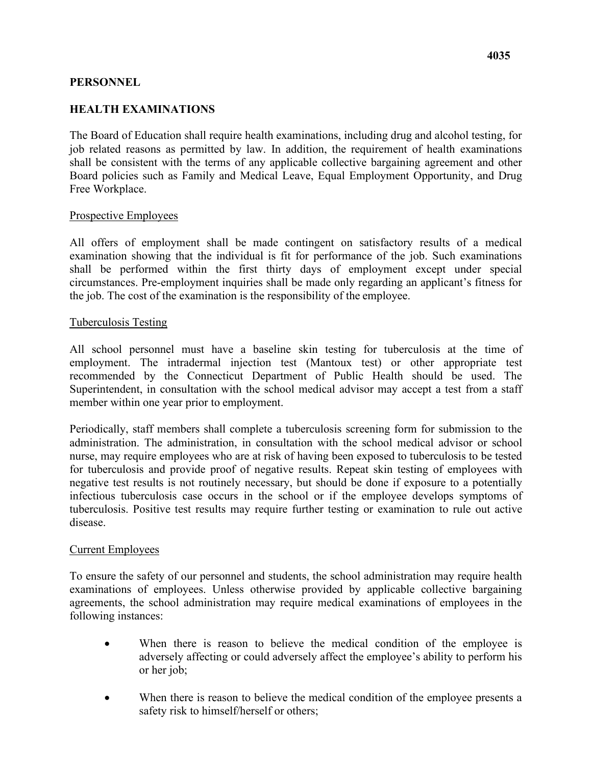## **PERSONNEL**

# **HEALTH EXAMINATIONS**

job related reasons as permitted by law. In addition, the requirement of health examinations Free Workplace. The Board of Education shall require health examinations, including drug and alcohol testing, for shall be consistent with the terms of any applicable collective bargaining agreement and other Board policies such as Family and Medical Leave, Equal Employment Opportunity, and Drug

### Prospective Employees

 circumstances. Pre-employment inquiries shall be made only regarding an applicant's fitness for the job. The cost of the examination is the responsibility of the employee. All offers of employment shall be made contingent on satisfactory results of a medical examination showing that the individual is fit for performance of the job. Such examinations shall be performed within the first thirty days of employment except under special

#### Tuberculosis Testing

 Superintendent, in consultation with the school medical advisor may accept a test from a staff member within one year prior to employment. All school personnel must have a baseline skin testing for tuberculosis at the time of employment. The intradermal injection test (Mantoux test) or other appropriate test recommended by the Connecticut Department of Public Health should be used. The

 nurse, may require employees who are at risk of having been exposed to tuberculosis to be tested Periodically, staff members shall complete a tuberculosis screening form for submission to the administration. The administration, in consultation with the school medical advisor or school for tuberculosis and provide proof of negative results. Repeat skin testing of employees with negative test results is not routinely necessary, but should be done if exposure to a potentially infectious tuberculosis case occurs in the school or if the employee develops symptoms of tuberculosis. Positive test results may require further testing or examination to rule out active disease.

### Current Employees

 following instances: To ensure the safety of our personnel and students, the school administration may require health examinations of employees. Unless otherwise provided by applicable collective bargaining agreements, the school administration may require medical examinations of employees in the

- When there is reason to believe the medical condition of the employee is adversely affecting or could adversely affect the employee's ability to perform his or her job;
- safety risk to himself/herself or others; When there is reason to believe the medical condition of the employee presents a